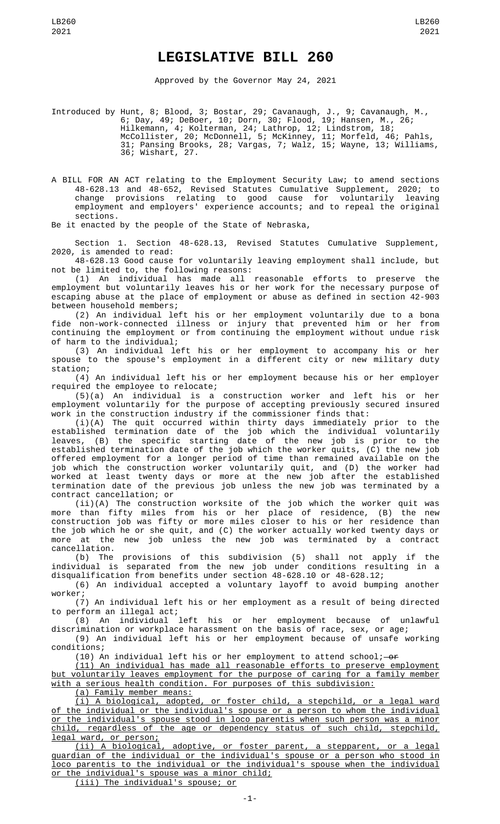## **LEGISLATIVE BILL 260**

Approved by the Governor May 24, 2021

Introduced by Hunt, 8; Blood, 3; Bostar, 29; Cavanaugh, J., 9; Cavanaugh, M., 6; Day, 49; DeBoer, 10; Dorn, 30; Flood, 19; Hansen, M., 26; Hilkemann, 4; Kolterman, 24; Lathrop, 12; Lindstrom, 18; McCollister, 20; McDonnell, 5; McKinney, 11; Morfeld, 46; Pahls, 31; Pansing Brooks, 28; Vargas, 7; Walz, 15; Wayne, 13; Williams, 36; Wishart, 27.

A BILL FOR AN ACT relating to the Employment Security Law; to amend sections 48-628.13 and 48-652, Revised Statutes Cumulative Supplement, 2020; to change provisions relating to good cause for voluntarily leaving employment and employers' experience accounts; and to repeal the original sections.

Be it enacted by the people of the State of Nebraska,

Section 1. Section 48-628.13, Revised Statutes Cumulative Supplement, 2020, is amended to read:

48-628.13 Good cause for voluntarily leaving employment shall include, but not be limited to, the following reasons:

(1) An individual has made all reasonable efforts to preserve the employment but voluntarily leaves his or her work for the necessary purpose of escaping abuse at the place of employment or abuse as defined in section 42-903 between household members;

(2) An individual left his or her employment voluntarily due to a bona fide non-work-connected illness or injury that prevented him or her from continuing the employment or from continuing the employment without undue risk of harm to the individual;

(3) An individual left his or her employment to accompany his or her spouse to the spouse's employment in a different city or new military duty station;

(4) An individual left his or her employment because his or her employer required the employee to relocate; required the employee to relocate;<br>(5)(a) An individual is a construction worker and left his or her

employment voluntarily for the purpose of accepting previously secured insured work in the construction industry if the commissioner finds that:

(i)(A) The quit occurred within thirty days immediately prior to the established termination date of the job which the individual voluntarily leaves, (B) the specific starting date of the new job is prior to the established termination date of the job which the worker quits, (C) the new job offered employment for a longer period of time than remained available on the job which the construction worker voluntarily quit, and (D) the worker had worked at least twenty days or more at the new job after the established termination date of the previous job unless the new job was terminated by a contract cancellation; or

(ii)(A) The construction worksite of the job which the worker quit was more than fifty miles from his or her place of residence, (B) the new construction job was fifty or more miles closer to his or her residence than the job which he or she quit, and (C) the worker actually worked twenty days or more at the new job unless the new job was terminated by a contract cancellation.

(b) The provisions of this subdivision (5) shall not apply if the individual is separated from the new job under conditions resulting in a disqualification from benefits under section 48-628.10 or 48-628.12;

(6) An individual accepted a voluntary layoff to avoid bumping another worker;

(7) An individual left his or her employment as a result of being directed to perform an illegal act;

(8) An individual left his or her employment because of unlawful discrimination or workplace harassment on the basis of race, sex, or age;

(9) An individual left his or her employment because of unsafe working conditions;

(10) An individual left his or her employment to attend school;  $-$ or

(11) An individual has made all reasonable efforts to preserve employment but voluntarily leaves employment for the purpose of caring for a family member with a serious health condition. For purposes of this subdivision:

(a) Family member means:

(i) A biological, adopted, or foster child, a stepchild, or a legal ward of the individual or the individual's spouse or a person to whom the individual or the individual's spouse stood in loco parentis when such person was a minor child, regardless of the age or dependency status of such child, stepchild, legal ward, or person;

(ii) A biological, adoptive, or foster parent, a stepparent, or a legal guardian of the individual or the individual's spouse or a person who stood in loco parentis to the individual or the individual's spouse when the individual or the individual's spouse was a minor child;

(iii) The individual's spouse; or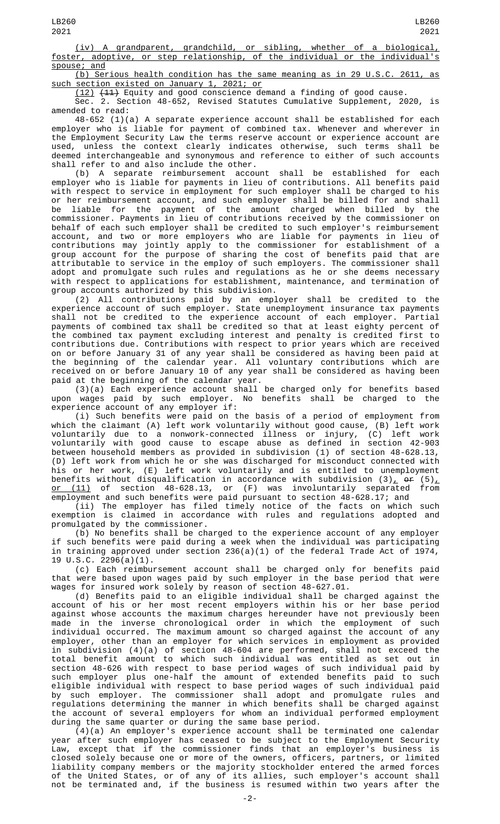LB260 2021

(b) Serious health condition has the same meaning as in 29 U.S.C. 2611, as such section existed on January 1, 2021; or

 $(12)$   $(11)$  Equity and good conscience demand a finding of good cause.

Sec. 2. Section 48-652, Revised Statutes Cumulative Supplement, 2020, is amended to read:

48-652 (1)(a) A separate experience account shall be established for each employer who is liable for payment of combined tax. Whenever and wherever in the Employment Security Law the terms reserve account or experience account are used, unless the context clearly indicates otherwise, such terms shall be deemed interchangeable and synonymous and reference to either of such accounts shall refer to and also include the other.

(b) A separate reimbursement account shall be established for each employer who is liable for payments in lieu of contributions. All benefits paid with respect to service in employment for such employer shall be charged to his or her reimbursement account, and such employer shall be billed for and shall be liable for the payment of the amount charged when billed by the commissioner. Payments in lieu of contributions received by the commissioner on behalf of each such employer shall be credited to such employer's reimbursement account, and two or more employers who are liable for payments in lieu of contributions may jointly apply to the commissioner for establishment of a group account for the purpose of sharing the cost of benefits paid that are attributable to service in the employ of such employers. The commissioner shall adopt and promulgate such rules and regulations as he or she deems necessary with respect to applications for establishment, maintenance, and termination of group accounts authorized by this subdivision.

(2) All contributions paid by an employer shall be credited to the experience account of such employer. State unemployment insurance tax payments shall not be credited to the experience account of each employer. Partial payments of combined tax shall be credited so that at least eighty percent of the combined tax payment excluding interest and penalty is credited first to contributions due. Contributions with respect to prior years which are received on or before January 31 of any year shall be considered as having been paid at the beginning of the calendar year. All voluntary contributions which are received on or before January 10 of any year shall be considered as having been paid at the beginning of the calendar year.

(3)(a) Each experience account shall be charged only for benefits based upon wages paid by such employer. No benefits shall be charged to the experience account of any employer if:

(i) Such benefits were paid on the basis of a period of employment from which the claimant (A) left work voluntarily without good cause, (B) left work voluntarily due to a nonwork-connected illness or injury, (C) left work voluntarily with good cause to escape abuse as defined in section 42-903 between household members as provided in subdivision (1) of section 48-628.13, (D) left work from which he or she was discharged for misconduct connected with his or her work, (E) left work voluntarily and is entitled to unemployment benefits without disqualification in accordance with subdivision (3),  $\rm{O}_{L}$  (5), <u>or (11)</u> of section 48-628.13, or (F) was involuntarily separated from employment and such benefits were paid pursuant to section 48-628.17; and

(ii) The employer has filed timely notice of the facts on which such exemption is claimed in accordance with rules and regulations adopted and promulgated by the commissioner.

(b) No benefits shall be charged to the experience account of any employer if such benefits were paid during a week when the individual was participating in training approved under section 236(a)(1) of the federal Trade Act of 1974, 19 U.S.C. 2296(a)(1).

(c) Each reimbursement account shall be charged only for benefits paid that were based upon wages paid by such employer in the base period that were wages for insured work solely by reason of section 48-627.01.

(d) Benefits paid to an eligible individual shall be charged against the account of his or her most recent employers within his or her base period against whose accounts the maximum charges hereunder have not previously been made in the inverse chronological order in which the employment of such individual occurred. The maximum amount so charged against the account of any employer, other than an employer for which services in employment as provided in subdivision (4)(a) of section 48-604 are performed, shall not exceed the total benefit amount to which such individual was entitled as set out in section 48-626 with respect to base period wages of such individual paid by such employer plus one-half the amount of extended benefits paid to such eligible individual with respect to base period wages of such individual paid by such employer. The commissioner shall adopt and promulgate rules and regulations determining the manner in which benefits shall be charged against the account of several employers for whom an individual performed employment during the same quarter or during the same base period.

(4)(a) An employer's experience account shall be terminated one calendar year after such employer has ceased to be subject to the Employment Security Law, except that if the commissioner finds that an employer's business is closed solely because one or more of the owners, officers, partners, or limited liability company members or the majority stockholder entered the armed forces of the United States, or of any of its allies, such employer's account shall not be terminated and, if the business is resumed within two years after the